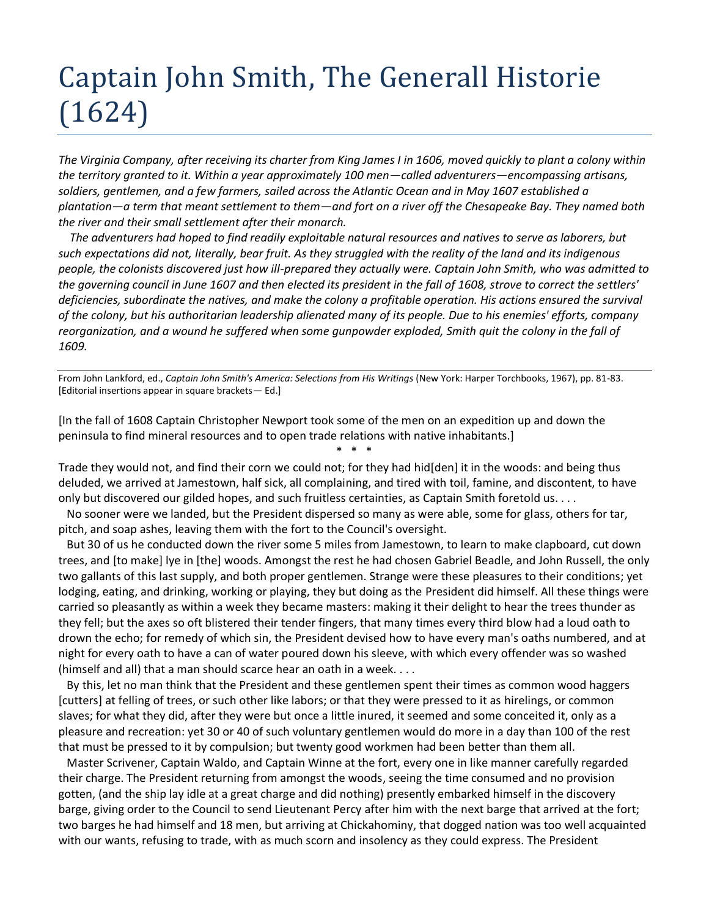## Captain John Smith, The Generall Historie (1624)

*The Virginia Company, after receiving its charter from King James I in 1606, moved quickly to plant a colony within the territory granted to it. Within a year approximately 100 men—called adventurers—encompassing artisans, soldiers, gentlemen, and a few farmers, sailed across the Atlantic Ocean and in May 1607 established a plantation—a term that meant settlement to them—and fort on a river off the Chesapeake Bay. They named both the river and their small settlement after their monarch.*

 *The adventurers had hoped to find readily exploitable natural resources and natives to serve as laborers, but such expectations did not, literally, bear fruit. As they struggled with the reality of the land and its indigenous people, the colonists discovered just how ill-prepared they actually were. Captain John Smith, who was admitted to the governing council in June 1607 and then elected its president in the fall of 1608, strove to correct the settlers' deficiencies, subordinate the natives, and make the colony a profitable operation. His actions ensured the survival of the colony, but his authoritarian leadership alienated many of its people. Due to his enemies' efforts, company reorganization, and a wound he suffered when some gunpowder exploded, Smith quit the colony in the fall of 1609.*

From John Lankford, ed., *Captain John Smith's America: Selections from His Writings* (New York: Harper Torchbooks, 1967), pp. 81-83. [Editorial insertions appear in square brackets— Ed.]

[In the fall of 1608 Captain Christopher Newport took some of the men on an expedition up and down the peninsula to find mineral resources and to open trade relations with native inhabitants.]

Trade they would not, and find their corn we could not; for they had hid[den] it in the woods: and being thus deluded, we arrived at Jamestown, half sick, all complaining, and tired with toil, famine, and discontent, to have only but discovered our gilded hopes, and such fruitless certainties, as Captain Smith foretold us. . . .

\* \* \*

 No sooner were we landed, but the President dispersed so many as were able, some for glass, others for tar, pitch, and soap ashes, leaving them with the fort to the Council's oversight.

 But 30 of us he conducted down the river some 5 miles from Jamestown, to learn to make clapboard, cut down trees, and [to make] lye in [the] woods. Amongst the rest he had chosen Gabriel Beadle, and John Russell, the only two gallants of this last supply, and both proper gentlemen. Strange were these pleasures to their conditions; yet lodging, eating, and drinking, working or playing, they but doing as the President did himself. All these things were carried so pleasantly as within a week they became masters: making it their delight to hear the trees thunder as they fell; but the axes so oft blistered their tender fingers, that many times every third blow had a loud oath to drown the echo; for remedy of which sin, the President devised how to have every man's oaths numbered, and at night for every oath to have a can of water poured down his sleeve, with which every offender was so washed (himself and all) that a man should scarce hear an oath in a week. . . .

 By this, let no man think that the President and these gentlemen spent their times as common wood haggers [cutters] at felling of trees, or such other like labors; or that they were pressed to it as hirelings, or common slaves; for what they did, after they were but once a little inured, it seemed and some conceited it, only as a pleasure and recreation: yet 30 or 40 of such voluntary gentlemen would do more in a day than 100 of the rest that must be pressed to it by compulsion; but twenty good workmen had been better than them all.

 Master Scrivener, Captain Waldo, and Captain Winne at the fort, every one in like manner carefully regarded their charge. The President returning from amongst the woods, seeing the time consumed and no provision gotten, (and the ship lay idle at a great charge and did nothing) presently embarked himself in the discovery barge, giving order to the Council to send Lieutenant Percy after him with the next barge that arrived at the fort; two barges he had himself and 18 men, but arriving at Chickahominy, that dogged nation was too well acquainted with our wants, refusing to trade, with as much scorn and insolency as they could express. The President